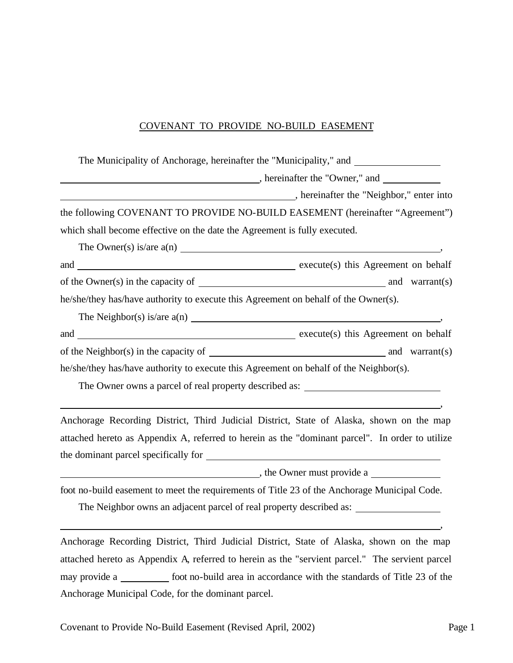### COVENANT TO PROVIDE NO-BUILD EASEMENT

| The present of the "Neighbor," enter into the "Neighbor," enter into                                                   |  |
|------------------------------------------------------------------------------------------------------------------------|--|
| the following COVENANT TO PROVIDE NO-BUILD EASEMENT (hereinafter "Agreement")                                          |  |
| which shall become effective on the date the Agreement is fully executed.                                              |  |
| The Owner(s) is/are $a(n)$                                                                                             |  |
|                                                                                                                        |  |
|                                                                                                                        |  |
| he/she/they has/have authority to execute this Agreement on behalf of the Owner(s).                                    |  |
|                                                                                                                        |  |
|                                                                                                                        |  |
|                                                                                                                        |  |
| he/she/they has/have authority to execute this Agreement on behalf of the Neighbor(s).                                 |  |
| The Owner owns a parcel of real property described as: __________________________                                      |  |
| <u> 1989 - Johann Stoff, deutscher Stoffen und der Stoffen und der Stoffen und der Stoffen und der Stoffen und der</u> |  |
| Anchorage Recording District, Third Judicial District, State of Alaska, shown on the map                               |  |
| attached hereto as Appendix A, referred to herein as the "dominant parcel". In order to utilize                        |  |
|                                                                                                                        |  |
| $\blacksquare$ , the Owner must provide a $\blacksquare$                                                               |  |
| foot no-build easement to meet the requirements of Title 23 of the Anchorage Municipal Code.                           |  |
|                                                                                                                        |  |

Anchorage Recording District, Third Judicial District, State of Alaska, shown on the map attached hereto as Appendix A, referred to herein as the "servient parcel." The servient parcel may provide a \_\_\_\_\_\_\_\_\_\_\_ foot no-build area in accordance with the standards of Title 23 of the Anchorage Municipal Code, for the dominant parcel.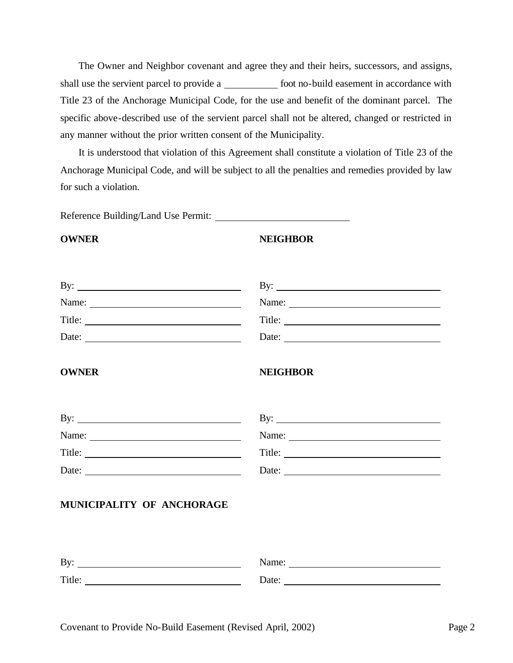The Owner and Neighbor covenant and agree they and their heirs, successors, and assigns, shall use the servient parcel to provide a foot no-build easement in accordance with Title 23 of the Anchorage Municipal Code, for the use and benefit of the dominant parcel. The specific above-described use of the servient parcel shall not be altered, changed or restricted in any manner without the prior written consent of the Municipality.

It is understood that violation of this Agreement shall constitute a violation of Title 23 of the Anchorage Municipal Code, and will be subject to all the penalties and remedies provided by law for such a violation.

Reference Building/Land Use Permit:

#### **OWNER NEIGHBOR**

| By: $\qquad \qquad$                                                                                                                                                                                                                                                                                                                                                                                           | By: $\qquad \qquad$ |
|---------------------------------------------------------------------------------------------------------------------------------------------------------------------------------------------------------------------------------------------------------------------------------------------------------------------------------------------------------------------------------------------------------------|---------------------|
| Name:                                                                                                                                                                                                                                                                                                                                                                                                         |                     |
|                                                                                                                                                                                                                                                                                                                                                                                                               | Title:              |
| Date: $\frac{1}{\sqrt{1-\frac{1}{2}}\sqrt{1-\frac{1}{2}}\sqrt{1-\frac{1}{2}}\sqrt{1-\frac{1}{2}}\sqrt{1-\frac{1}{2}}\sqrt{1-\frac{1}{2}}\sqrt{1-\frac{1}{2}}\sqrt{1-\frac{1}{2}}\sqrt{1-\frac{1}{2}}\sqrt{1-\frac{1}{2}}\sqrt{1-\frac{1}{2}}\sqrt{1-\frac{1}{2}}\sqrt{1-\frac{1}{2}}\sqrt{1-\frac{1}{2}}\sqrt{1-\frac{1}{2}}\sqrt{1-\frac{1}{2}}\sqrt{1-\frac{1}{2}}\sqrt{1-\frac{1}{2}}\sqrt{1-\frac{1}{2}}$ | Date:               |
| <b>OWNER</b>                                                                                                                                                                                                                                                                                                                                                                                                  | <b>NEIGHBOR</b>     |
| By: $\qquad \qquad$                                                                                                                                                                                                                                                                                                                                                                                           | By: $\qquad \qquad$ |
|                                                                                                                                                                                                                                                                                                                                                                                                               | Name:               |
|                                                                                                                                                                                                                                                                                                                                                                                                               |                     |
| Date:                                                                                                                                                                                                                                                                                                                                                                                                         | Date:               |
| MUNICIPALITY OF ANCHORAGE                                                                                                                                                                                                                                                                                                                                                                                     |                     |
| By: $\qquad \qquad$                                                                                                                                                                                                                                                                                                                                                                                           |                     |
| Title:                                                                                                                                                                                                                                                                                                                                                                                                        | Date:               |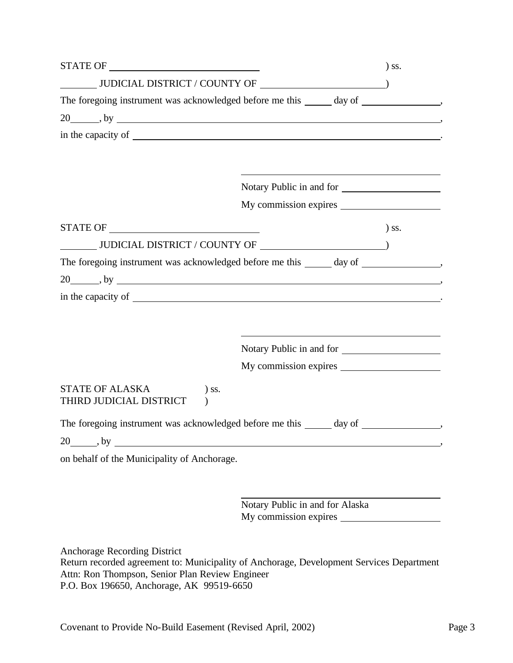|                                                                                                                                                                                                                                |                                 | $)$ SS. |
|--------------------------------------------------------------------------------------------------------------------------------------------------------------------------------------------------------------------------------|---------------------------------|---------|
| $\underbrace{\hspace{1.5cm}}\hspace{1.5cm}\text{JUDICIAL DISTRIBUT}/\text{COUNTY OF}\hspace{1.5cm}\underline{\hspace{1.5cm}}$                                                                                                  |                                 |         |
| The foregoing instrument was acknowledged before me this ______ day of ________________,                                                                                                                                       |                                 |         |
| 20 https://www.facebook.com/community/systems.com/community/systems.com/community/systems.com/community/systems.com/community/systems.com/community/systems.com/community/systems.com/community/systems.com/community/systems. |                                 |         |
|                                                                                                                                                                                                                                |                                 |         |
|                                                                                                                                                                                                                                |                                 |         |
|                                                                                                                                                                                                                                |                                 |         |
|                                                                                                                                                                                                                                | Notary Public in and for        |         |
|                                                                                                                                                                                                                                |                                 |         |
|                                                                                                                                                                                                                                |                                 | $)$ SS. |
|                                                                                                                                                                                                                                |                                 |         |
|                                                                                                                                                                                                                                |                                 |         |
|                                                                                                                                                                                                                                |                                 |         |
|                                                                                                                                                                                                                                |                                 |         |
|                                                                                                                                                                                                                                |                                 |         |
|                                                                                                                                                                                                                                |                                 |         |
|                                                                                                                                                                                                                                |                                 |         |
|                                                                                                                                                                                                                                | Notary Public in and for        |         |
|                                                                                                                                                                                                                                |                                 |         |
| STATE OF ALASKA<br>) ss.                                                                                                                                                                                                       |                                 |         |
| THIRD JUDICIAL DISTRICT<br>$\mathcal{E}$                                                                                                                                                                                       |                                 |         |
| The foregoing instrument was acknowledged before me this ______ day of ________________,                                                                                                                                       |                                 |         |
|                                                                                                                                                                                                                                |                                 |         |
| on behalf of the Municipality of Anchorage.                                                                                                                                                                                    |                                 |         |
|                                                                                                                                                                                                                                |                                 |         |
|                                                                                                                                                                                                                                |                                 |         |
|                                                                                                                                                                                                                                | Notary Public in and for Alaska |         |
|                                                                                                                                                                                                                                |                                 |         |
|                                                                                                                                                                                                                                |                                 |         |
| Anchorage Recording District                                                                                                                                                                                                   |                                 |         |

Return recorded agreement to: Municipality of Anchorage, Development Services Department Attn: Ron Thompson, Senior Plan Review Engineer P.O. Box 196650, Anchorage, AK 99519-6650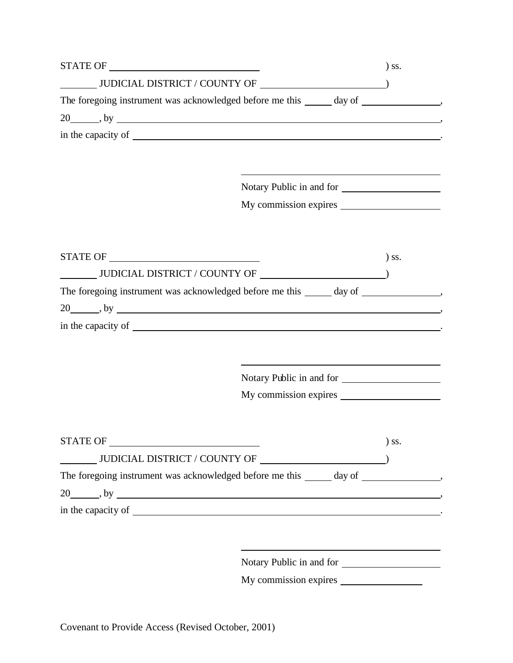|                                                                                           |                          | $\sum$ SS. |
|-------------------------------------------------------------------------------------------|--------------------------|------------|
|                                                                                           |                          |            |
| The foregoing instrument was acknowledged before me this ______ day of _______________,   |                          |            |
|                                                                                           |                          |            |
|                                                                                           |                          |            |
|                                                                                           |                          |            |
|                                                                                           |                          |            |
|                                                                                           | Notary Public in and for |            |
|                                                                                           |                          |            |
|                                                                                           |                          |            |
|                                                                                           |                          |            |
|                                                                                           |                          | $\sum$ SS. |
|                                                                                           |                          |            |
| The foregoing instrument was acknowledged before me this ______ day of _________________, |                          |            |
| $20$ , by $\frac{1}{20}$ , by $\frac{1}{20}$                                              |                          |            |
|                                                                                           |                          |            |
|                                                                                           |                          |            |
|                                                                                           |                          |            |
|                                                                                           | Notary Public in and for |            |
|                                                                                           |                          |            |
|                                                                                           |                          |            |
|                                                                                           |                          |            |
|                                                                                           |                          | $)$ SS.    |
|                                                                                           |                          |            |
| The foregoing instrument was acknowledged before me this ______ day of ________________,  |                          |            |
|                                                                                           |                          |            |
|                                                                                           |                          |            |
|                                                                                           |                          |            |
|                                                                                           |                          |            |
|                                                                                           |                          |            |
|                                                                                           | Notary Public in and for |            |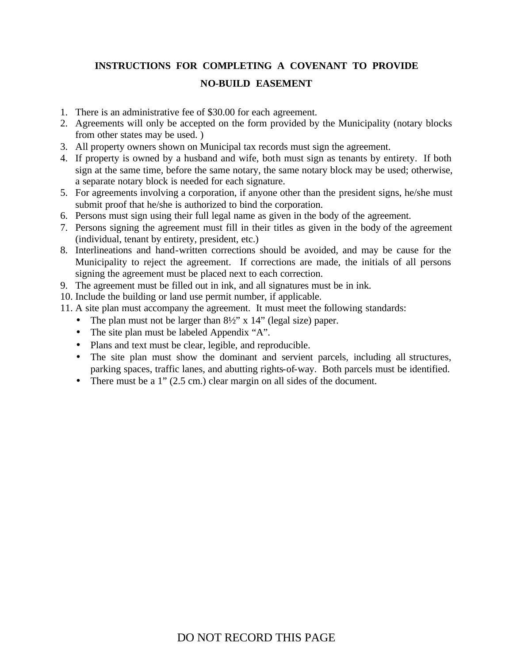# **INSTRUCTIONS FOR COMPLETING A COVENANT TO PROVIDE NO-BUILD EASEMENT**

- 1. There is an administrative fee of \$30.00 for each agreement.
- 2. Agreements will only be accepted on the form provided by the Municipality (notary blocks from other states may be used. )
- 3. All property owners shown on Municipal tax records must sign the agreement.
- 4. If property is owned by a husband and wife, both must sign as tenants by entirety. If both sign at the same time, before the same notary, the same notary block may be used; otherwise, a separate notary block is needed for each signature.
- 5. For agreements involving a corporation, if anyone other than the president signs, he/she must submit proof that he/she is authorized to bind the corporation.
- 6. Persons must sign using their full legal name as given in the body of the agreement.
- 7. Persons signing the agreement must fill in their titles as given in the body of the agreement (individual, tenant by entirety, president, etc.)
- 8. Interlineations and hand-written corrections should be avoided, and may be cause for the Municipality to reject the agreement. If corrections are made, the initials of all persons signing the agreement must be placed next to each correction.
- 9. The agreement must be filled out in ink, and all signatures must be in ink.
- 10. Include the building or land use permit number, if applicable.
- 11. A site plan must accompany the agreement. It must meet the following standards:
	- The plan must not be larger than  $8\frac{1}{2}$ " x 14" (legal size) paper.
	- The site plan must be labeled Appendix "A".
	- Plans and text must be clear, legible, and reproducible.
	- The site plan must show the dominant and servient parcels, including all structures, parking spaces, traffic lanes, and abutting rights-of-way. Both parcels must be identified.
	- There must be a 1" (2.5 cm.) clear margin on all sides of the document.